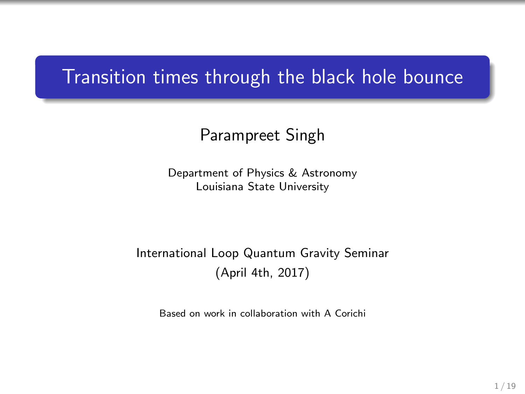### Transition times through the black hole bounce

#### Parampreet Singh

Department of Physics & Astronomy Louisiana State University

#### International Loop Quantum Gravity Seminar (April 4th, 2017)

Based on work in collaboration with A Corichi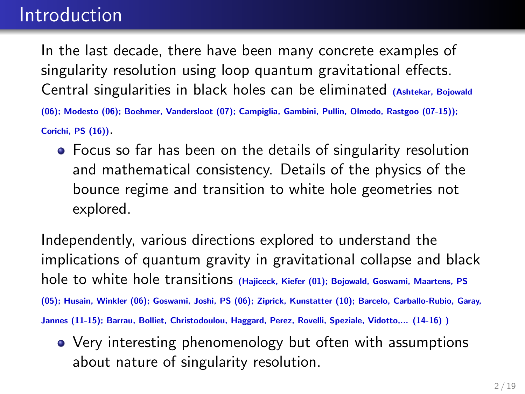### Introduction

In the last decade, there have been many concrete examples of singularity resolution using loop quantum gravitational effects. Central singularities in black holes can be eliminated (Ashtekar, Bojowald

(06); Modesto (06); Boehmer, Vandersloot (07); Campiglia, Gambini, Pullin, Olmedo, Rastgoo (07-15));

Corichi, PS (16)).

Focus so far has been on the details of singularity resolution and mathematical consistency. Details of the physics of the bounce regime and transition to white hole geometries not explored.

Independently, various directions explored to understand the implications of quantum gravity in gravitational collapse and black hole to white hole transitions (Hajiceck, Kiefer (01); Bojowald, Goswami, Maartens, PS (05); Husain, Winkler (06); Goswami, Joshi, PS (06); Ziprick, Kunstatter (10); Barcelo, Carballo-Rubio, Garay, Jannes (11-15); Barrau, Bolliet, Christodoulou, Haggard, Perez, Rovelli, Speziale, Vidotto,... (14-16) )

• Very interesting phenomenology but often with assumptions about nature of singularity resolution.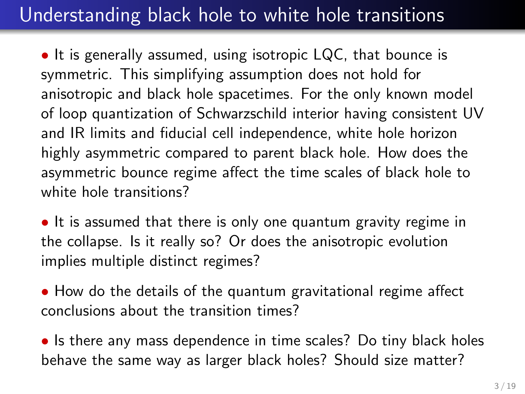# Understanding black hole to white hole transitions

• It is generally assumed, using isotropic LQC, that bounce is symmetric. This simplifying assumption does not hold for anisotropic and black hole spacetimes. For the only known model of loop quantization of Schwarzschild interior having consistent UV and IR limits and fiducial cell independence, white hole horizon highly asymmetric compared to parent black hole. How does the asymmetric bounce regime affect the time scales of black hole to white hole transitions?

• It is assumed that there is only one quantum gravity regime in the collapse. Is it really so? Or does the anisotropic evolution implies multiple distinct regimes?

• How do the details of the quantum gravitational regime affect conclusions about the transition times?

• Is there any mass dependence in time scales? Do tiny black holes behave the same way as larger black holes? Should size matter?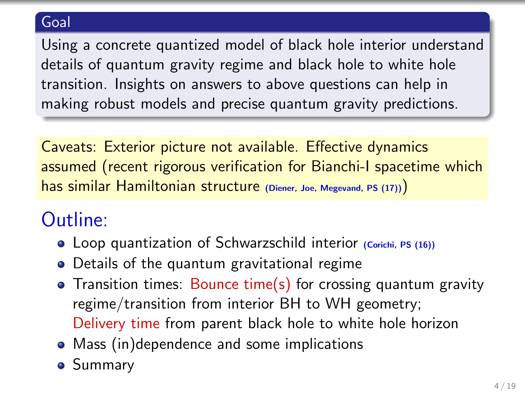#### **Goal**

Using a concrete quantized model of black hole interior understand details of quantum gravity regime and black hole to white hole transition. Insights on answers to above questions can help in making robust models and precise quantum gravity predictions.

Caveats: Exterior picture not available. Effective dynamics assumed (recent rigorous verification for Bianchi-I spacetime which has similar Hamiltonian structure (Diener, Joe, Megevand, PS (17))

# Outline:

- Loop quantization of Schwarzschild interior (Corichi, PS (16))
- Details of the quantum gravitational regime
- Transition times: Bounce time(s) for crossing quantum gravity regime/transition from interior BH to WH geometry; Delivery time from parent black hole to white hole horizon
- Mass (in)dependence and some implications
- **•** Summary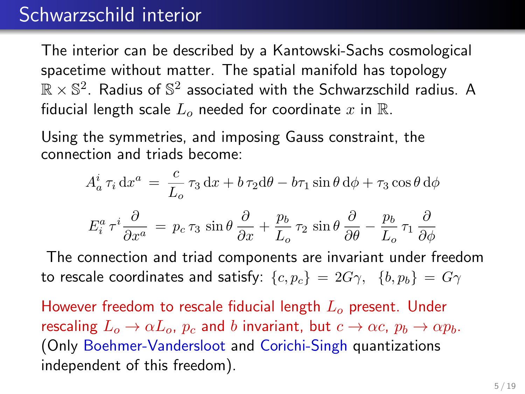### Schwarzschild interior

The interior can be described by a Kantowski-Sachs cosmological spacetime without matter. The spatial manifold has topology  $\mathbb{R}\times\mathbb{S}^2$ . Radius of  $\mathbb{S}^2$  associated with the Schwarzschild radius. A fiducial length scale  $L_0$  needed for coordinate x in R.

Using the symmetries, and imposing Gauss constraint, the connection and triads become:

$$
A^i_a \tau_i \, dx^a = \frac{c}{L_o} \tau_3 \, dx + b \tau_2 d\theta - b \tau_1 \sin \theta \, d\phi + \tau_3 \cos \theta \, d\phi
$$

$$
E_i^a \tau^i \frac{\partial}{\partial x^a} = p_c \tau_3 \sin \theta \frac{\partial}{\partial x} + \frac{p_b}{L_o} \tau_2 \sin \theta \frac{\partial}{\partial \theta} - \frac{p_b}{L_o} \tau_1 \frac{\partial}{\partial \phi}
$$

The connection and triad components are invariant under freedom to rescale coordinates and satisfy:  $\{c, p_c\} = 2G\gamma$ ,  $\{b, p_b\} = G\gamma$ 

However freedom to rescale fiducial length  $L<sub>o</sub>$  present. Under rescaling  $L_0 \to \alpha L_0$ ,  $p_c$  and b invariant, but  $c \to \alpha c$ ,  $p_b \to \alpha p_b$ . (Only Boehmer-Vandersloot and Corichi-Singh quantizations independent of this freedom).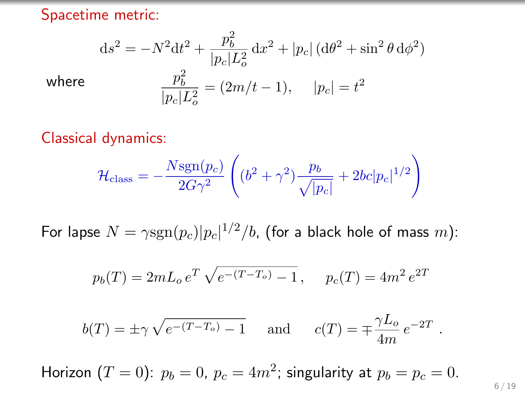Spacetime metric:

$$
ds^{2} = -N^{2}dt^{2} + \frac{p_{b}^{2}}{|p_{c}|L_{o}^{2}}dx^{2} + |p_{c}| (d\theta^{2} + \sin^{2}\theta d\phi^{2})
$$
  
where  

$$
\frac{p_{b}^{2}}{|p_{c}|L_{o}^{2}} = (2m/t - 1), \quad |p_{c}| = t^{2}
$$

Classical dynamics:

$$
\mathcal{H}_{\text{class}} = -\frac{N \text{sgn}(p_c)}{2G\gamma^2} \left( (b^2 + \gamma^2) \frac{p_b}{\sqrt{|p_c|}} + 2bc|p_c|^{1/2} \right)
$$

For lapse  $N = \gamma \text{sgn}(p_c) |p_c|^{1/2}/b$ , (for a black hole of mass  $m$ ):

$$
p_b(T) = 2mL_o e^T \sqrt{e^{-(T-T_o)} - 1}, \quad p_c(T) = 4m^2 e^{2T}
$$

$$
b(T) = \pm \gamma \sqrt{e^{-(T-T_o)} - 1} \quad \text{and} \quad c(T) = \mp \frac{\gamma L_o}{4m} e^{-2T}
$$

Horizon  $(T = 0)$ :  $p_b = 0$ ,  $p_c = 4m^2$ ; singularity at  $p_b = p_c = 0$ .

.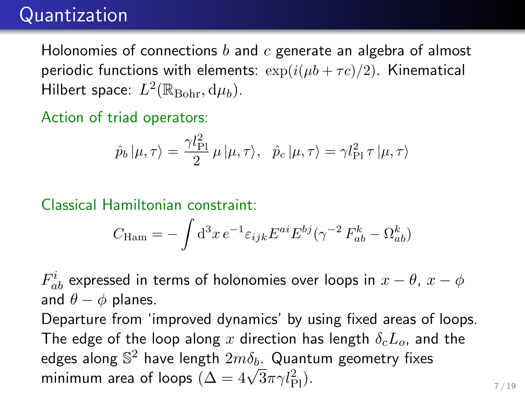# **Quantization**

Holonomies of connections  $b$  and  $c$  generate an algebra of almost periodic functions with elements:  $\exp(i(\mu b + \tau c)/2)$ . Kinematical Hilbert space:  $L^2(\mathbb{R}_{\text{Bohr}}, d\mu_b)$ .

Action of triad operators:

$$
\hat{p}_b \, |\mu, \tau \rangle = \frac{\gamma l_{\rm Pl}^2}{2} \, \mu \, |\mu, \tau \rangle, \quad \hat{p}_c \, |\mu, \tau \rangle = \gamma l_{\rm Pl}^2 \, \tau \, |\mu, \tau \rangle
$$

Classical Hamiltonian constraint:

$$
C_{\text{Ham}} = -\int d^3x \, e^{-1} \varepsilon_{ijk} E^{ai} E^{bj} (\gamma^{-2} F_{ab}^k - \Omega_{ab}^k)
$$

 $F^i_{ab}$  expressed in terms of holonomies over loops in  $x-\theta, \, x-\phi$ and  $\theta - \phi$  planes.

Departure from 'improved dynamics' by using fixed areas of loops. The edge of the loop along x direction has length  $\delta_c L_o$ , and the edges along  $\mathbb{S}^2$  have length  $2m\delta_b$ . Quantum geometry fixes eages along  $\beta$  = nave length  $2m\delta_b$ . Quant<br>minimum area of loops  $(\Delta = 4\sqrt{3}\pi \gamma l_{\rm Pl}^2)$ .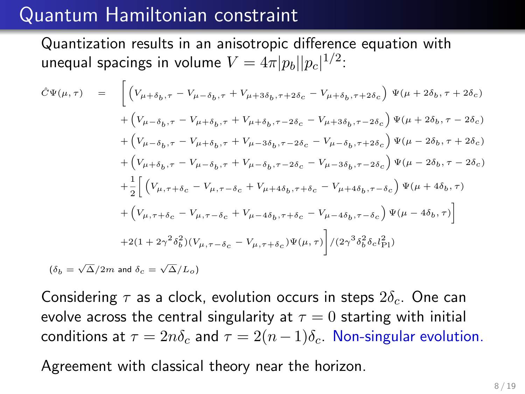### Quantum Hamiltonian constraint

Quantization results in an anisotropic difference equation with unequal spacings in volume  $V=4\pi |p_b||p_c|^{1/2}$ :

$$
\hat{C}\Psi(\mu,\tau) = \begin{bmatrix} \left(V_{\mu+\delta_b,\tau} - V_{\mu-\delta_b,\tau} + V_{\mu+3\delta_b,\tau+2\delta_c} - V_{\mu+\delta_b,\tau+2\delta_c}\right) \Psi(\mu+2\delta_b,\tau+2\delta_c) \\ + \left(V_{\mu-\delta_b,\tau} - V_{\mu+\delta_b,\tau} + V_{\mu+\delta_b,\tau-2\delta_c} - V_{\mu+3\delta_b,\tau-2\delta_c}\right) \Psi(\mu+2\delta_b,\tau-2\delta_c) \\ + \left(V_{\mu-\delta_b,\tau} - V_{\mu+\delta_b,\tau} + V_{\mu-3\delta_b,\tau-2\delta_c} - V_{\mu-\delta_b,\tau+2\delta_c}\right) \Psi(\mu-2\delta_b,\tau+2\delta_c) \\ + \left(V_{\mu+\delta_b,\tau} - V_{\mu-\delta_b,\tau} + V_{\mu-\delta_b,\tau-2\delta_c} - V_{\mu-3\delta_b,\tau-2\delta_c}\right) \Psi(\mu-2\delta_b,\tau-2\delta_c) \\ + \frac{1}{2} \left[ \left(V_{\mu,\tau+\delta_c} - V_{\mu,\tau-\delta_c} + V_{\mu+4\delta_b,\tau+\delta_c} - V_{\mu+4\delta_b,\tau-\delta_c}\right) \Psi(\mu+4\delta_b,\tau) \\ + \left(V_{\mu,\tau+\delta_c} - V_{\mu,\tau-\delta_c} + V_{\mu-4\delta_b,\tau+\delta_c} - V_{\mu-4\delta_b,\tau-\delta_c}\right) \Psi(\mu-4\delta_b,\tau) \right] \\ + 2(1 + 2\gamma^2 \delta_b^2)(V_{\mu,\tau-\delta_c} - V_{\mu,\tau+\delta_c}) \Psi(\mu,\tau) \left] / (2\gamma^3 \delta_b^2 \delta_c l_{\text{Pl}}^2) \right] \end{bmatrix}
$$
  
\n
$$
(\delta_b = \sqrt{\Delta}/2m \text{ and } \delta_c = \sqrt{\Delta}/L_o)
$$

Considering  $\tau$  as a clock, evolution occurs in steps  $2\delta_c$ . One can evolve across the central singularity at  $\tau = 0$  starting with initial conditions at  $\tau = 2n\delta_c$  and  $\tau = 2(n-1)\delta_c$ . Non-singular evolution.

Agreement with classical theory near the horizon.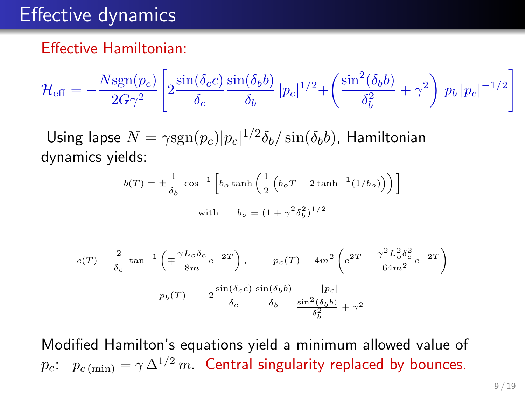### Effective dynamics

#### Effective Hamiltonian:

$$
\mathcal{H}_{\text{eff}} = -\frac{N \text{sgn}(p_c)}{2G\gamma^2} \left[ 2 \frac{\sin(\delta_c c)}{\delta_c} \frac{\sin(\delta_b b)}{\delta_b} |p_c|^{1/2} + \left( \frac{\sin^2(\delta_b b)}{\delta_b^2} + \gamma^2 \right) p_b |p_c|^{-1/2} \right]
$$

Using lapse  $N = \gamma \text{sgn}(p_c) |p_c|^{1/2} \delta_b / \sin(\delta_b b)$ , Hamiltonian dynamics yields:

$$
b(T) = \pm \frac{1}{\delta_b} \cos^{-1} \left[ b_o \tanh\left(\frac{1}{2} \left( b_o T + 2 \tanh^{-1}(1/b_o) \right) \right) \right]
$$
  
with 
$$
b_o = (1 + \gamma^2 \delta_b^2)^{1/2}
$$

$$
c(T) = \frac{2}{\delta_c} \tan^{-1} \left( \mp \frac{\gamma L_o \delta_c}{8m} e^{-2T} \right), \qquad p_c(T) = 4m^2 \left( e^{2T} + \frac{\gamma^2 L_o^2 \delta_c^2}{64m^2} e^{-2T} \right)
$$

$$
p_b(T) = -2 \frac{\sin(\delta_c c)}{\delta_c} \frac{\sin(\delta_b b)}{\delta_b} \frac{|p_c|}{\frac{\sin^2(\delta_b b)}{\delta_b^2} + \gamma^2}
$$

Modified Hamilton's equations yield a minimum allowed value of  $p_c$ :  $p_{c (min)} = \gamma \Delta^{1/2} m$ . Central singularity replaced by bounces.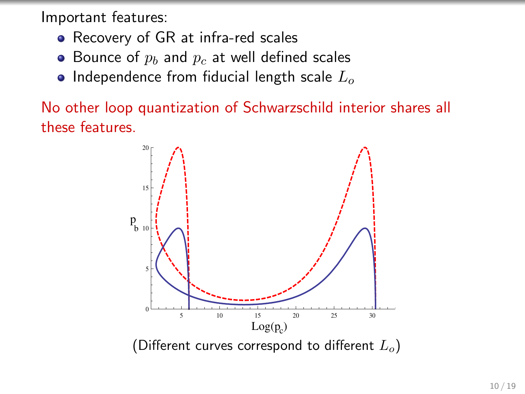Important features:

- Recovery of GR at infra-red scales
- Bounce of  $p_b$  and  $p_c$  at well defined scales
- Independence from fiducial length scale  $L_0$

No other loop quantization of Schwarzschild interior shares all these features.

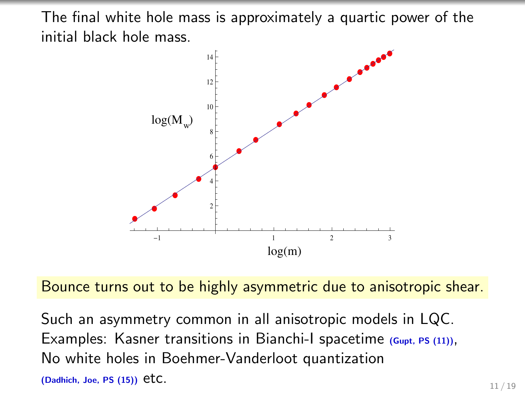The final white hole mass is approximately a quartic power of the initial black hole mass.



Bounce turns out to be highly asymmetric due to anisotropic shear.

Such an asymmetry common in all anisotropic models in LQC. Examples: Kasner transitions in Bianchi-I spacetime  $(Gupt, PS (11)),$ No white holes in Boehmer-Vanderloot quantization (Dadhich, Joe, PS (15))  $etc.$  11 / 19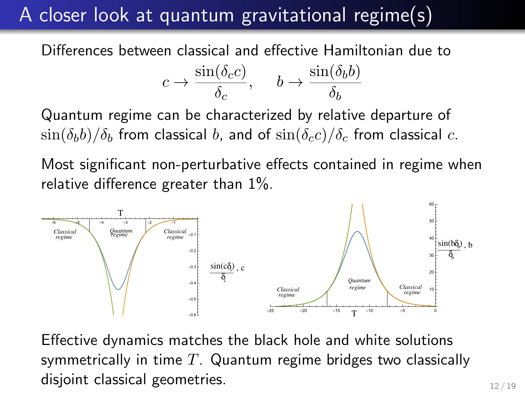# A closer look at quantum gravitational regime(s)

Differences between classical and effective Hamiltonian due to

$$
c \to \frac{\sin(\delta_c c)}{\delta_c}, \quad b \to \frac{\sin(\delta_b b)}{\delta_b}
$$

Quantum regime can be characterized by relative departure of  $\sin(\delta_b b)/\delta_b$  from classical b, and of  $\sin(\delta_c c)/\delta_c$  from classical c.

Most significant non-perturbative effects contained in regime when relative difference greater than 1%.



Effective dynamics matches the black hole and white solutions symmetrically in time  $T$ . Quantum regime bridges two classically disjoint classical geometries. 12/19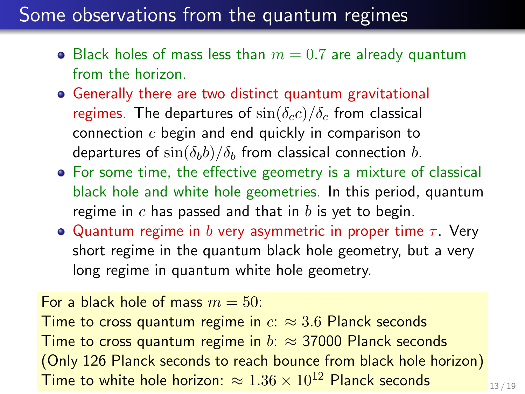## Some observations from the quantum regimes

- Black holes of mass less than  $m = 0.7$  are already quantum from the horizon.
- Generally there are two distinct quantum gravitational regimes. The departures of  $\sin(\delta_c c)/\delta_c$  from classical connection c begin and end quickly in comparison to departures of  $\sin(\delta_b b)/\delta_b$  from classical connection b.
- For some time, the effective geometry is a mixture of classical black hole and white hole geometries. In this period, quantum regime in  $c$  has passed and that in  $b$  is yet to begin.
- **•** Quantum regime in b very asymmetric in proper time  $\tau$ . Very short regime in the quantum black hole geometry, but a very long regime in quantum white hole geometry.

For a black hole of mass  $m = 50$ : Time to cross quantum regime in  $c \approx 3.6$  Planck seconds Time to cross quantum regime in  $b: \approx 37000$  Planck seconds (Only 126 Planck seconds to reach bounce from black hole horizon) Time to white hole horizon:  $\approx 1.36 \times 10^{12}$  Planck seconds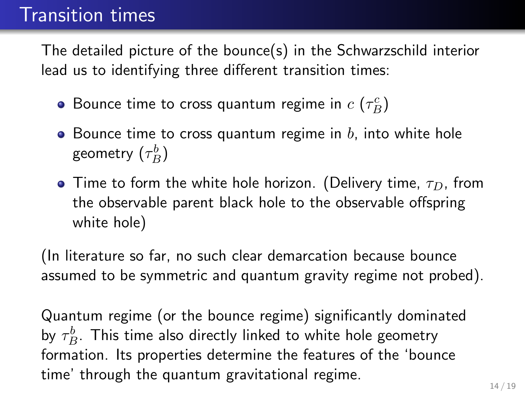## Transition times

The detailed picture of the bounce(s) in the Schwarzschild interior lead us to identifying three different transition times:

- Bounce time to cross quantum regime in  $c$   $(\tau^c_B)$
- Bounce time to cross quantum regime in  $b$ , into white hole geometry  $(\tau_{B}^{b})$
- Time to form the white hole horizon. (Delivery time,  $\tau_D$ , from the observable parent black hole to the observable offspring white hole)

(In literature so far, no such clear demarcation because bounce assumed to be symmetric and quantum gravity regime not probed).

Quantum regime (or the bounce regime) significantly dominated by  $\tau_B^b$ . This time also directly linked to white hole geometry formation. Its properties determine the features of the 'bounce time' through the quantum gravitational regime.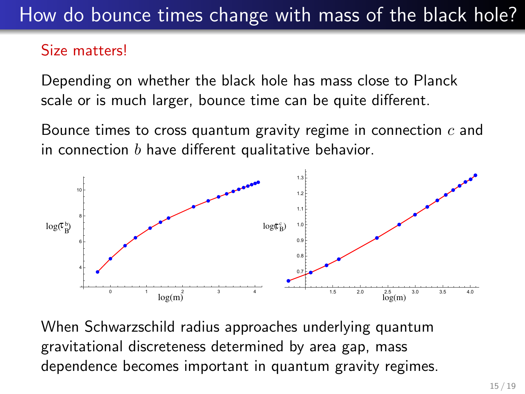# How do bounce times change with mass of the black hole?

#### Size matters!

Depending on whether the black hole has mass close to Planck scale or is much larger, bounce time can be quite different.

Bounce times to cross quantum gravity regime in connection  $c$  and in connection  $b$  have different qualitative behavior.



When Schwarzschild radius approaches underlying quantum gravitational discreteness determined by area gap, mass dependence becomes important in quantum gravity regimes.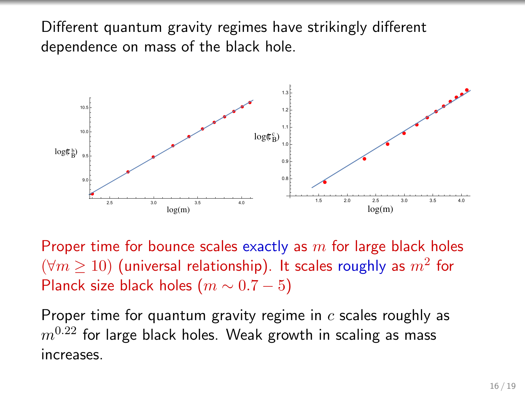Different quantum gravity regimes have strikingly different dependence on mass of the black hole.



Proper time for bounce scales exactly as  $m$  for large black holes  $(\forall m \geq 10)$  (universal relationship). It scales roughly as  $m^2$  for Planck size black holes  $(m \sim 0.7 - 5)$ 

Proper time for quantum gravity regime in  $c$  scales roughly as  $m^{0.22}$  for large black holes. Weak growth in scaling as mass increases.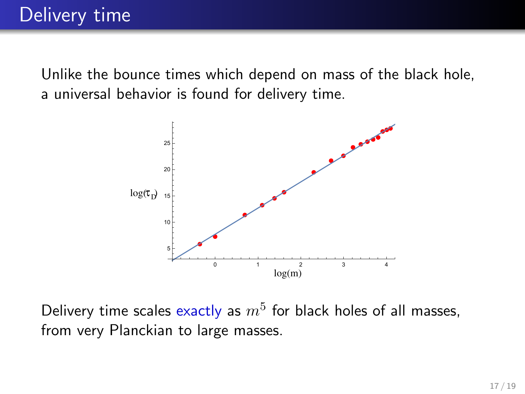Unlike the bounce times which depend on mass of the black hole, a universal behavior is found for delivery time.



Delivery time scales exactly as  $m^5$  for black holes of all masses, from very Planckian to large masses.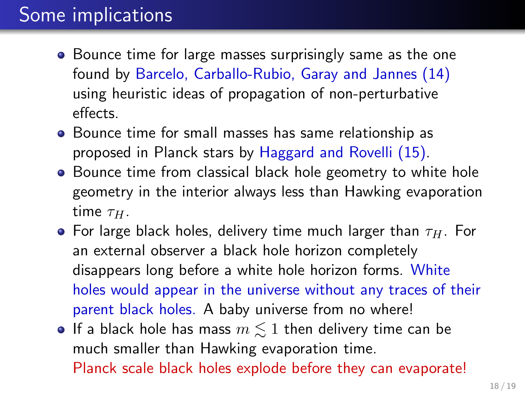# Some implications

- Bounce time for large masses surprisingly same as the one found by Barcelo, Carballo-Rubio, Garay and Jannes (14) using heuristic ideas of propagation of non-perturbative effects.
- Bounce time for small masses has same relationship as proposed in Planck stars by Haggard and Rovelli (15).
- Bounce time from classical black hole geometry to white hole geometry in the interior always less than Hawking evaporation time  $\tau_H$ .
- **•** For large black holes, delivery time much larger than  $\tau_H$ . For an external observer a black hole horizon completely disappears long before a white hole horizon forms. White holes would appear in the universe without any traces of their parent black holes. A baby universe from no where!
- If a black hole has mass  $m \lesssim 1$  then delivery time can be much smaller than Hawking evaporation time. Planck scale black holes explode before they can evaporate!